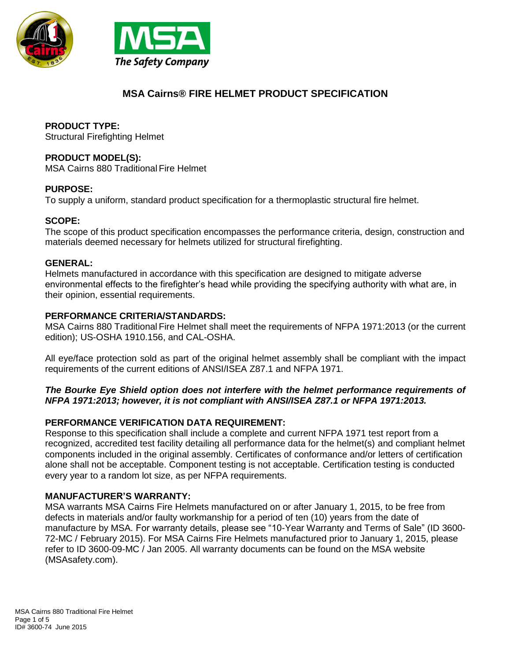



# **MSA Cairns® FIRE HELMET PRODUCT SPECIFICATION**

## **PRODUCT TYPE:**

Structural Firefighting Helmet

## **PRODUCT MODEL(S):**

MSA Cairns 880 Traditional Fire Helmet

## **PURPOSE:**

To supply a uniform, standard product specification for a thermoplastic structural fire helmet.

## **SCOPE:**

The scope of this product specification encompasses the performance criteria, design, construction and materials deemed necessary for helmets utilized for structural firefighting.

#### **GENERAL:**

Helmets manufactured in accordance with this specification are designed to mitigate adverse environmental effects to the firefighter's head while providing the specifying authority with what are, in their opinion, essential requirements.

## **PERFORMANCE CRITERIA/STANDARDS:**

MSA Cairns 880 Traditional Fire Helmet shall meet the requirements of NFPA 1971:2013 (or the current edition); US-OSHA 1910.156, and CAL-OSHA.

All eye/face protection sold as part of the original helmet assembly shall be compliant with the impact requirements of the current editions of ANSI/ISEA Z87.1 and NFPA 1971.

#### *The Bourke Eye Shield option does not interfere with the helmet performance requirements of NFPA 1971:2013; however, it is not compliant with ANSI/ISEA Z87.1 or NFPA 1971:2013.*

## **PERFORMANCE VERIFICATION DATA REQUIREMENT:**

Response to this specification shall include a complete and current NFPA 1971 test report from a recognized, accredited test facility detailing all performance data for the helmet(s) and compliant helmet components included in the original assembly. Certificates of conformance and/or letters of certification alone shall not be acceptable. Component testing is not acceptable. Certification testing is conducted every year to a random lot size, as per NFPA requirements.

#### **MANUFACTURER'S WARRANTY:**

MSA warrants MSA Cairns Fire Helmets manufactured on or after January 1, 2015, to be free from defects in materials and/or faulty workmanship for a period of ten (10) years from the date of manufacture by MSA. For warranty details, please see "10-Year Warranty and Terms of Sale" (ID 3600- 72-MC / February 2015). For MSA Cairns Fire Helmets manufactured prior to January 1, 2015, please refer to ID 3600-09-MC / Jan 2005. All warranty documents can be found on the MSA website (MSAsafety.com).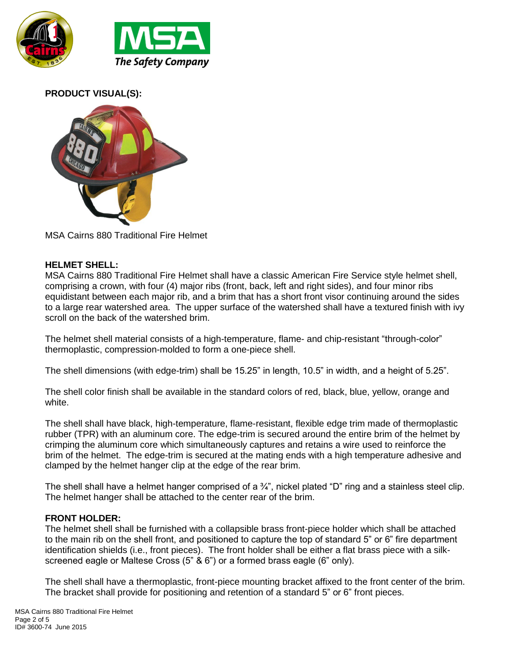

## **PRODUCT VISUAL(S):**



MSA Cairns 880 Traditional Fire Helmet

## **HELMET SHELL:**

MSA Cairns 880 Traditional Fire Helmet shall have a classic American Fire Service style helmet shell, comprising a crown, with four (4) major ribs (front, back, left and right sides), and four minor ribs equidistant between each major rib, and a brim that has a short front visor continuing around the sides to a large rear watershed area. The upper surface of the watershed shall have a textured finish with ivy scroll on the back of the watershed brim.

The helmet shell material consists of a high-temperature, flame- and chip-resistant "through-color" thermoplastic, compression-molded to form a one-piece shell.

The shell dimensions (with edge-trim) shall be 15.25" in length, 10.5" in width, and a height of 5.25".

The shell color finish shall be available in the standard colors of red, black, blue, yellow, orange and white.

The shell shall have black, high-temperature, flame-resistant, flexible edge trim made of thermoplastic rubber (TPR) with an aluminum core. The edge-trim is secured around the entire brim of the helmet by crimping the aluminum core which simultaneously captures and retains a wire used to reinforce the brim of the helmet. The edge-trim is secured at the mating ends with a high temperature adhesive and clamped by the helmet hanger clip at the edge of the rear brim.

The shell shall have a helmet hanger comprised of a  $\frac{3}{4}$ ", nickel plated "D" ring and a stainless steel clip. The helmet hanger shall be attached to the center rear of the brim.

#### **FRONT HOLDER:**

The helmet shell shall be furnished with a collapsible brass front-piece holder which shall be attached to the main rib on the shell front, and positioned to capture the top of standard 5" or 6" fire department identification shields (i.e., front pieces). The front holder shall be either a flat brass piece with a silkscreened eagle or Maltese Cross (5" & 6") or a formed brass eagle (6" only).

The shell shall have a thermoplastic, front-piece mounting bracket affixed to the front center of the brim. The bracket shall provide for positioning and retention of a standard 5" or 6" front pieces.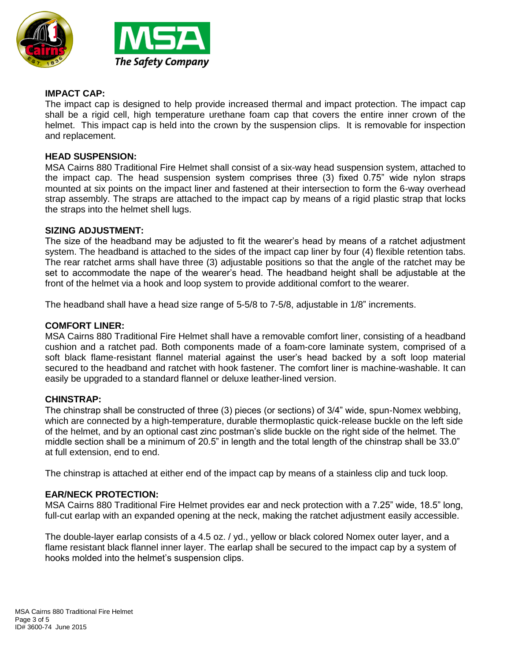



## **IMPACT CAP:**

The impact cap is designed to help provide increased thermal and impact protection. The impact cap shall be a rigid cell, high temperature urethane foam cap that covers the entire inner crown of the helmet. This impact cap is held into the crown by the suspension clips. It is removable for inspection and replacement.

### **HEAD SUSPENSION:**

MSA Cairns 880 Traditional Fire Helmet shall consist of a six-way head suspension system, attached to the impact cap. The head suspension system comprises three (3) fixed 0.75" wide nylon straps mounted at six points on the impact liner and fastened at their intersection to form the 6-way overhead strap assembly. The straps are attached to the impact cap by means of a rigid plastic strap that locks the straps into the helmet shell lugs.

#### **SIZING ADJUSTMENT:**

The size of the headband may be adjusted to fit the wearer's head by means of a ratchet adjustment system. The headband is attached to the sides of the impact cap liner by four (4) flexible retention tabs. The rear ratchet arms shall have three (3) adjustable positions so that the angle of the ratchet may be set to accommodate the nape of the wearer's head. The headband height shall be adjustable at the front of the helmet via a hook and loop system to provide additional comfort to the wearer.

The headband shall have a head size range of 5-5/8 to 7-5/8, adjustable in 1/8" increments.

#### **COMFORT LINER:**

MSA Cairns 880 Traditional Fire Helmet shall have a removable comfort liner, consisting of a headband cushion and a ratchet pad. Both components made of a foam-core laminate system, comprised of a soft black flame-resistant flannel material against the user's head backed by a soft loop material secured to the headband and ratchet with hook fastener. The comfort liner is machine-washable. It can easily be upgraded to a standard flannel or deluxe leather-lined version.

#### **CHINSTRAP:**

The chinstrap shall be constructed of three (3) pieces (or sections) of 3/4" wide, spun-Nomex webbing, which are connected by a high-temperature, durable thermoplastic quick-release buckle on the left side of the helmet, and by an optional cast zinc postman's slide buckle on the right side of the helmet. The middle section shall be a minimum of 20.5" in length and the total length of the chinstrap shall be 33.0" at full extension, end to end.

The chinstrap is attached at either end of the impact cap by means of a stainless clip and tuck loop.

#### **EAR/NECK PROTECTION:**

MSA Cairns 880 Traditional Fire Helmet provides ear and neck protection with a 7.25" wide, 18.5" long, full-cut earlap with an expanded opening at the neck, making the ratchet adjustment easily accessible.

The double-layer earlap consists of a 4.5 oz. / yd., yellow or black colored Nomex outer layer, and a flame resistant black flannel inner layer. The earlap shall be secured to the impact cap by a system of hooks molded into the helmet's suspension clips.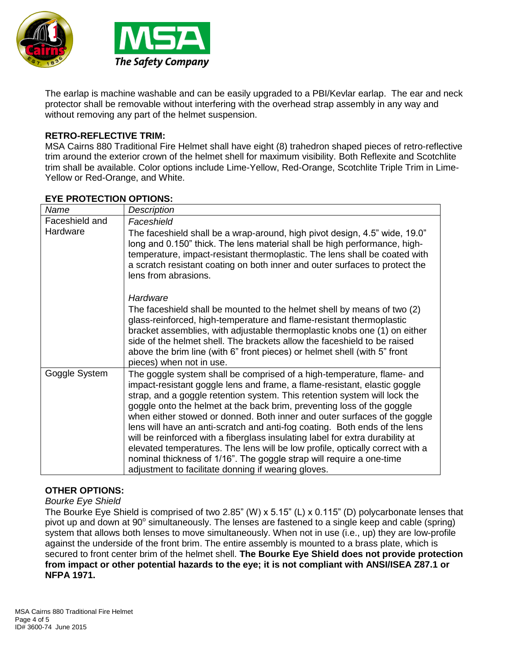



The earlap is machine washable and can be easily upgraded to a PBI/Kevlar earlap. The ear and neck protector shall be removable without interfering with the overhead strap assembly in any way and without removing any part of the helmet suspension.

## **RETRO-REFLECTIVE TRIM:**

MSA Cairns 880 Traditional Fire Helmet shall have eight (8) trahedron shaped pieces of retro-reflective trim around the exterior crown of the helmet shell for maximum visibility. Both Reflexite and Scotchlite trim shall be available. Color options include Lime-Yellow, Red-Orange, Scotchlite Triple Trim in Lime-Yellow or Red-Orange, and White.

| Name           | <b>Description</b>                                                                                                                                                                                                                                                                                                                                                                                                                                                                                                                                                                                                                                                                                                                                                     |
|----------------|------------------------------------------------------------------------------------------------------------------------------------------------------------------------------------------------------------------------------------------------------------------------------------------------------------------------------------------------------------------------------------------------------------------------------------------------------------------------------------------------------------------------------------------------------------------------------------------------------------------------------------------------------------------------------------------------------------------------------------------------------------------------|
| Faceshield and | Faceshield                                                                                                                                                                                                                                                                                                                                                                                                                                                                                                                                                                                                                                                                                                                                                             |
| Hardware       | The faceshield shall be a wrap-around, high pivot design, 4.5" wide, 19.0"<br>long and 0.150" thick. The lens material shall be high performance, high-<br>temperature, impact-resistant thermoplastic. The lens shall be coated with<br>a scratch resistant coating on both inner and outer surfaces to protect the<br>lens from abrasions.                                                                                                                                                                                                                                                                                                                                                                                                                           |
|                | Hardware<br>The faceshield shall be mounted to the helmet shell by means of two (2)<br>glass-reinforced, high-temperature and flame-resistant thermoplastic<br>bracket assemblies, with adjustable thermoplastic knobs one (1) on either<br>side of the helmet shell. The brackets allow the faceshield to be raised<br>above the brim line (with 6" front pieces) or helmet shell (with 5" front<br>pieces) when not in use.                                                                                                                                                                                                                                                                                                                                          |
| Goggle System  | The goggle system shall be comprised of a high-temperature, flame- and<br>impact-resistant goggle lens and frame, a flame-resistant, elastic goggle<br>strap, and a goggle retention system. This retention system will lock the<br>goggle onto the helmet at the back brim, preventing loss of the goggle<br>when either stowed or donned. Both inner and outer surfaces of the goggle<br>lens will have an anti-scratch and anti-fog coating. Both ends of the lens<br>will be reinforced with a fiberglass insulating label for extra durability at<br>elevated temperatures. The lens will be low profile, optically correct with a<br>nominal thickness of 1/16". The goggle strap will require a one-time<br>adjustment to facilitate donning if wearing gloves. |

## **EYE PROTECTION OPTIONS:**

#### **OTHER OPTIONS:**

*Bourke Eye Shield*

The Bourke Eye Shield is comprised of two 2.85" (W) x 5.15" (L) x 0.115" (D) polycarbonate lenses that pivot up and down at 90° simultaneously. The lenses are fastened to a single keep and cable (spring) system that allows both lenses to move simultaneously. When not in use (i.e., up) they are low-profile against the underside of the front brim. The entire assembly is mounted to a brass plate, which is secured to front center brim of the helmet shell. **The Bourke Eye Shield does not provide protection from impact or other potential hazards to the eye; it is not compliant with ANSI/ISEA Z87.1 or NFPA 1971.**